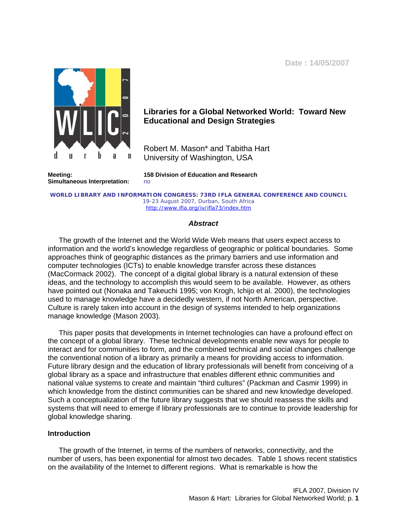**Date : 14/05/2007**



# **Libraries for a Global Networked World: Toward New Educational and Design Strategies**

Robert M. Mason\* and Tabitha Hart University of Washington, USA

**Simultaneous Interpretation:** no

**Meeting: 158 Division of Education and Research**

**WORLD LIBRARY AND INFORMATION CONGRESS: 73RD IFLA GENERAL CONFERENCE AND COUNCIL**  19-23 August 2007, Durban, South Africa <http://www.ifla.org/iv/ifla73/index.htm>

## *Abstract*

The growth of the Internet and the World Wide Web means that users expect access to information and the world's knowledge regardless of geographic or political boundaries. Some approaches think of geographic distances as the primary barriers and use information and computer technologies (ICTs) to enable knowledge transfer across these distances (MacCormack 2002). The concept of a digital global library is a natural extension of these ideas, and the technology to accomplish this would seem to be available. However, as others have pointed out (Nonaka and Takeuchi 1995; von Krogh, Ichijo et al. 2000), the technologies used to manage knowledge have a decidedly western, if not North American, perspective. Culture is rarely taken into account in the design of systems intended to help organizations manage knowledge (Mason 2003).

This paper posits that developments in Internet technologies can have a profound effect on the concept of a global library. These technical developments enable new ways for people to interact and for communities to form, and the combined technical and social changes challenge the conventional notion of a library as primarily a means for providing access to information. Future library design and the education of library professionals will benefit from conceiving of a global library as a space and infrastructure that enables different ethnic communities and national value systems to create and maintain "third cultures" (Packman and Casmir 1999) in which knowledge from the distinct communities can be shared and new knowledge developed. Such a conceptualization of the future library suggests that we should reassess the skills and systems that will need to emerge if library professionals are to continue to provide leadership for global knowledge sharing.

## **Introduction**

The growth of the Internet, in terms of the numbers of networks, connectivity, and the number of users, has been exponential for almost two decades. Table 1 shows recent statistics on the availability of the Internet to different regions. What is remarkable is how the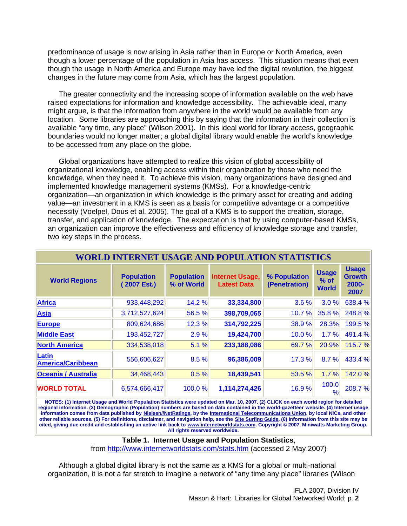predominance of usage is now arising in Asia rather than in Europe or North America, even though a lower percentage of the population in Asia has access. This situation means that even though the usage in North America and Europe may have led the digital revolution, the biggest changes in the future may come from Asia, which has the largest population.

The greater connectivity and the increasing scope of information available on the web have raised expectations for information and knowledge accessibility. The achievable ideal, many might argue, is that the information from anywhere in the world would be available from any location. Some libraries are approaching this by saying that the information in their collection is available "any time, any place" (Wilson 2001). In this ideal world for library access, geographic boundaries would no longer matter; a global digital library would enable the world's knowledge to be accessed from any place on the globe.

Global organizations have attempted to realize this vision of global accessibility of organizational knowledge, enabling access within their organization by those who need the knowledge, when they need it. To achieve this vision, many organizations have designed and implemented knowledge management systems (KMSs). For a knowledge-centric organization—an organization in which knowledge is the primary asset for creating and adding value—an investment in a KMS is seen as a basis for competitive advantage or a competitive necessity (Voelpel, Dous et al. 2005). The goal of a KMS is to support the creation, storage, transfer, and application of knowledge. The expectation is that by using computer-based KMSs, an organization can improve the effectiveness and efficiency of knowledge storage and transfer, two key steps in the process.

| <b>WORLD INTERNET USAGE AND POPULATION STATISTICS</b> |                                  |                                 |                                              |                               |                                        |                                                   |
|-------------------------------------------------------|----------------------------------|---------------------------------|----------------------------------------------|-------------------------------|----------------------------------------|---------------------------------------------------|
| <b>World Regions</b>                                  | <b>Population</b><br>(2007 Est.) | <b>Population</b><br>% of World | <b>Internet Usage,</b><br><b>Latest Data</b> | % Population<br>(Penetration) | <b>Usage</b><br>$%$ of<br><b>World</b> | <b>Usage</b><br><b>Growth</b><br>$2000 -$<br>2007 |
| <b>Africa</b>                                         | 933,448,292                      | 14.2 %                          | 33,334,800                                   | 3.6%                          | 3.0%                                   | 638.4 %                                           |
| <b>Asia</b>                                           | 3,712,527,624                    | 56.5 %                          | 398,709,065                                  | 10.7%                         | 35.8%                                  | 248.8%                                            |
| <b>Europe</b>                                         | 809,624,686                      | 12.3 %                          | 314,792,225                                  | 38.9%                         | 28.3%                                  | 199.5 %                                           |
| <b>Middle East</b>                                    | 193,452,727                      | 2.9%                            | 19,424,700                                   | 10.0%                         | 1.7%                                   | 491.4%                                            |
| <b>North America</b>                                  | 334,538,018                      | 5.1 %                           | 233,188,086                                  | 69.7 %                        | 20.9%                                  | 115.7 %                                           |
| Latin<br><b>America/Caribbean</b>                     | 556,606,627                      | 8.5%                            | 96,386,009                                   | 17.3 %                        | 8.7%                                   | 433.4 %                                           |
| <b>Oceania / Australia</b>                            | 34,468,443                       | 0.5%                            | 18,439,541                                   | 53.5 %                        | 1.7%                                   | 142.0 %                                           |
| <b>WORLD TOTAL</b>                                    | 6,574,666,417                    | 100.0%                          | 1,114,274,426                                | 16.9%                         | 100.0<br>%                             | 208.7%                                            |

**NOTES: (1) Internet Usage and World Population Statistics were updated on Mar. 10, 2007. (2) CLICK on each world region for detailed regional information. (3) Demographic (Population) numbers are based on data contained in the [world-gazetteer](http://www.world-gazetteer.com/) website. (4) Internet usage information comes from data published by [Nielsen//NetRatings,](http://www.nielsen-netratings.com/) by the [International Telecommunications Union,](http://www.itu.int/) by local NICs, and other other reliable sources. (5) For definitions, disclaimer, and navigation help, see the [Site Surfing Guide.](http://www.internetworldstats.com/surfing.htm) (6) Information from this site may be cited, giving due credit and establishing an active link back to [www.internetworldstats.com.](http://www.internetworldstats.com/) Copyright © 2007, Miniwatts Marketing Group. All rights reserved worldwide.**

**Table 1. Internet Usage and Population Statistics**,

from <http://www.internetworldstats.com/stats.htm> (accessed 2 May 2007)

Although a global digital library is not the same as a KMS for a global or multi-national organization, it is not a far stretch to imagine a network of "any time any place" libraries (Wilson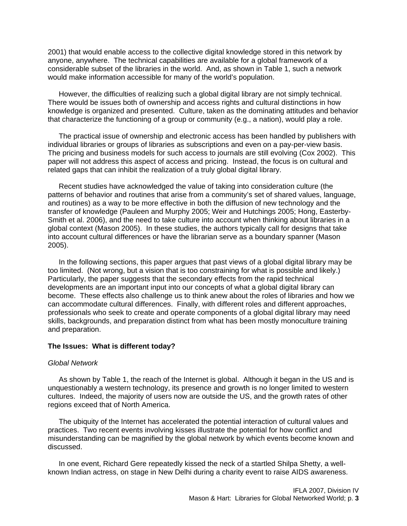2001) that would enable access to the collective digital knowledge stored in this network by anyone, anywhere. The technical capabilities are available for a global framework of a considerable subset of the libraries in the world. And, as shown in Table 1, such a network would make information accessible for many of the world's population.

However, the difficulties of realizing such a global digital library are not simply technical. There would be issues both of ownership and access rights and cultural distinctions in how knowledge is organized and presented. Culture, taken as the dominating attitudes and behavior that characterize the functioning of a group or community (e.g., a nation), would play a role.

The practical issue of ownership and electronic access has been handled by publishers with individual libraries or groups of libraries as subscriptions and even on a pay-per-view basis. The pricing and business models for such access to journals are still evolving (Cox 2002). This paper will not address this aspect of access and pricing. Instead, the focus is on cultural and related gaps that can inhibit the realization of a truly global digital library.

Recent studies have acknowledged the value of taking into consideration culture (the patterns of behavior and routines that arise from a community's set of shared values, language, and routines) as a way to be more effective in both the diffusion of new technology and the transfer of knowledge (Pauleen and Murphy 2005; Weir and Hutchings 2005; Hong, Easterby-Smith et al. 2006), and the need to take culture into account when thinking about libraries in a global context (Mason 2005). In these studies, the authors typically call for designs that take into account cultural differences or have the librarian serve as a boundary spanner (Mason 2005).

In the following sections, this paper argues that past views of a global digital library may be too limited. (Not wrong, but a vision that is too constraining for what is possible and likely.) Particularly, the paper suggests that the secondary effects from the rapid technical developments are an important input into our concepts of what a global digital library can become. These effects also challenge us to think anew about the roles of libraries and how we can accommodate cultural differences. Finally, with different roles and different approaches, professionals who seek to create and operate components of a global digital library may need skills, backgrounds, and preparation distinct from what has been mostly monoculture training and preparation.

#### **The Issues: What is different today?**

### *Global Network*

As shown by Table 1, the reach of the Internet is global. Although it began in the US and is unquestionably a western technology, its presence and growth is no longer limited to western cultures. Indeed, the majority of users now are outside the US, and the growth rates of other regions exceed that of North America.

The ubiquity of the Internet has accelerated the potential interaction of cultural values and practices. Two recent events involving kisses illustrate the potential for how conflict and misunderstanding can be magnified by the global network by which events become known and discussed.

In one event, Richard Gere repeatedly kissed the neck of a startled Shilpa Shetty, a wellknown Indian actress, on stage in New Delhi during a charity event to raise AIDS awareness.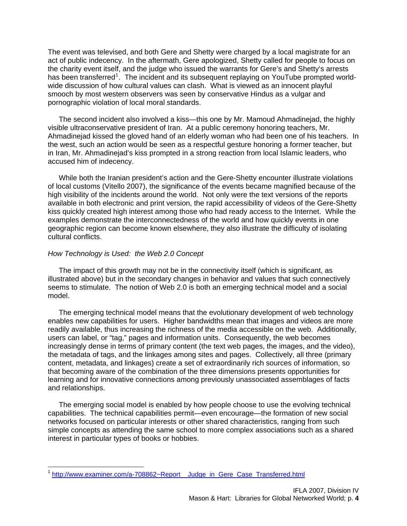The event was televised, and both Gere and Shetty were charged by a local magistrate for an act of public indecency. In the aftermath, Gere apologized, Shetty called for people to focus on the charity event itself, and the judge who issued the warrants for Gere's and Shetty's arrests has been transferred<sup>[1](#page-3-0)</sup>. The incident and its subsequent replaying on YouTube prompted worldwide discussion of how cultural values can clash. What is viewed as an innocent playful smooch by most western observers was seen by conservative Hindus as a vulgar and pornographic violation of local moral standards.

The second incident also involved a kiss—this one by Mr. Mamoud Ahmadinejad, the highly visible ultraconservative president of Iran. At a public ceremony honoring teachers, Mr. Ahmadinejad kissed the gloved hand of an elderly woman who had been one of his teachers. In the west, such an action would be seen as a respectful gesture honoring a former teacher, but in Iran, Mr. Ahmadinejad's kiss prompted in a strong reaction from local Islamic leaders, who accused him of indecency.

While both the Iranian president's action and the Gere-Shetty encounter illustrate violations of local customs (Vitello 2007), the significance of the events became magnified because of the high visibility of the incidents around the world. Not only were the text versions of the reports available in both electronic and print version, the rapid accessibility of videos of the Gere-Shetty kiss quickly created high interest among those who had ready access to the Internet. While the examples demonstrate the interconnectedness of the world and how quickly events in one geographic region can become known elsewhere, they also illustrate the difficulty of isolating cultural conflicts.

## *How Technology is Used: the Web 2.0 Concept*

 $\overline{a}$ 

The impact of this growth may not be in the connectivity itself (which is significant, as illustrated above) but in the secondary changes in behavior and values that such connectively seems to stimulate. The notion of Web 2.0 is both an emerging technical model and a social model.

The emerging technical model means that the evolutionary development of web technology enables new capabilities for users. Higher bandwidths mean that images and videos are more readily available, thus increasing the richness of the media accessible on the web. Additionally, users can label, or "tag," pages and information units. Consequently, the web becomes increasingly dense in terms of primary content (the text web pages, the images, and the video), the metadata of tags, and the linkages among sites and pages. Collectively, all three (primary content, metadata, and linkages) create a set of extraordinarily rich sources of information, so that becoming aware of the combination of the three dimensions presents opportunities for learning and for innovative connections among previously unassociated assemblages of facts and relationships.

The emerging social model is enabled by how people choose to use the evolving technical capabilities. The technical capabilities permit—even encourage—the formation of new social networks focused on particular interests or other shared characteristics, ranging from such simple concepts as attending the same school to more complex associations such as a shared interest in particular types of books or hobbies.

<span id="page-3-0"></span><sup>&</sup>lt;sup>1</sup> http://www.examiner.com/a-708862~Report \_ Judge\_in\_Gere\_Case\_Transferred.html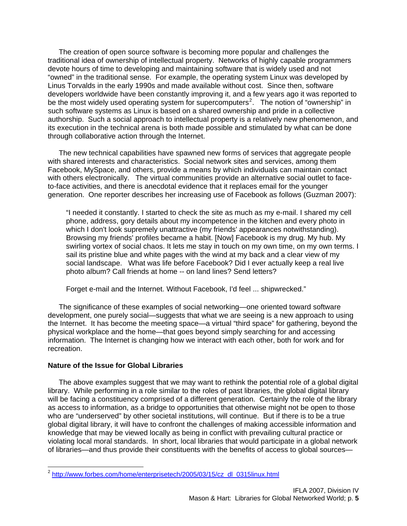The creation of open source software is becoming more popular and challenges the traditional idea of ownership of intellectual property. Networks of highly capable programmers devote hours of time to developing and maintaining software that is widely used and not "owned" in the traditional sense. For example, the operating system Linux was developed by Linus Torvalds in the early 1990s and made available without cost. Since then, software developers worldwide have been constantly improving it, and a few years ago it was reported to be the most widely used operating system for supercomputers<sup>[2](#page-4-0)</sup>. The notion of "ownership" in such software systems as Linux is based on a shared ownership and pride in a collective authorship. Such a social approach to intellectual property is a relatively new phenomenon, and its execution in the technical arena is both made possible and stimulated by what can be done through collaborative action through the Internet.

The new technical capabilities have spawned new forms of services that aggregate people with shared interests and characteristics. Social network sites and services, among them Facebook, MySpace, and others, provide a means by which individuals can maintain contact with others electronically. The virtual communities provide an alternative social outlet to faceto-face activities, and there is anecdotal evidence that it replaces email for the younger generation. One reporter describes her increasing use of Facebook as follows (Guzman 2007):

"I needed it constantly. I started to check the site as much as my e-mail. I shared my cell phone, address, gory details about my incompetence in the kitchen and every photo in which I don't look supremely unattractive (my friends' appearances notwithstanding). Browsing my friends' profiles became a habit. [Now] Facebook is my drug. My hub. My swirling vortex of social chaos. It lets me stay in touch on my own time, on my own terms. I sail its pristine blue and white pages with the wind at my back and a clear view of my social landscape. What was life before Facebook? Did I ever actually keep a real live photo album? Call friends at home -- on land lines? Send letters?

Forget e-mail and the Internet. Without Facebook, I'd feel ... shipwrecked."

The significance of these examples of social networking—one oriented toward software development, one purely social—suggests that what we are seeing is a new approach to using the Internet. It has become the meeting space—a virtual "third space" for gathering, beyond the physical workplace and the home—that goes beyond simply searching for and accessing information. The Internet is changing how we interact with each other, both for work and for recreation.

## **Nature of the Issue for Global Libraries**

 $\overline{a}$ 

The above examples suggest that we may want to rethink the potential role of a global digital library. While performing in a role similar to the roles of past libraries, the global digital library will be facing a constituency comprised of a different generation. Certainly the role of the library as access to information, as a bridge to opportunities that otherwise might not be open to those who are "underserved" by other societal institutions, will continue. But if there is to be a true global digital library, it will have to confront the challenges of making accessible information and knowledge that may be viewed locally as being in conflict with prevailing cultural practice or violating local moral standards. In short, local libraries that would participate in a global network of libraries—and thus provide their constituents with the benefits of access to global sources—

<span id="page-4-0"></span><sup>&</sup>lt;sup>2</sup> [http://www.forbes.com/home/enterprisetech/2005/03/15/cz\\_dl\\_0315linux.html](http://www.forbes.com/home/enterprisetech/2005/03/15/cz_dl_0315linux.html)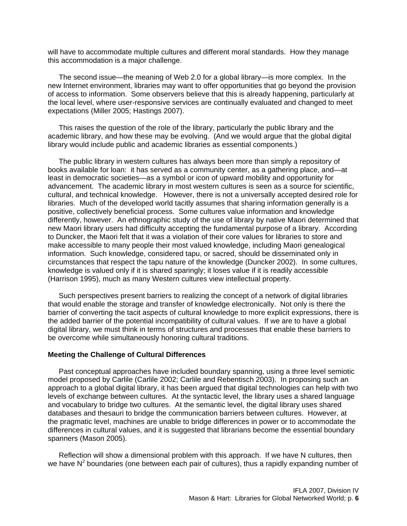will have to accommodate multiple cultures and different moral standards. How they manage this accommodation is a major challenge.

The second issue—the meaning of Web 2.0 for a global library—is more complex. In the new Internet environment, libraries may want to offer opportunities that go beyond the provision of access to information. Some observers believe that this is already happening, particularly at the local level, where user-responsive services are continually evaluated and changed to meet expectations (Miller 2005; Hastings 2007).

This raises the question of the role of the library, particularly the public library and the academic library, and how these may be evolving. (And we would argue that the global digital library would include public and academic libraries as essential components.)

The public library in western cultures has always been more than simply a repository of books available for loan: it has served as a community center, as a gathering place, and—at least in democratic societies—as a symbol or icon of upward mobility and opportunity for advancement. The academic library in most western cultures is seen as a source for scientific, cultural, and technical knowledge. However, there is not a universally accepted desired role for libraries. Much of the developed world tacitly assumes that sharing information generally is a positive, collectively beneficial process. Some cultures value information and knowledge differently, however. An ethnographic study of the use of library by native Maori determined that new Maori library users had difficulty accepting the fundamental purpose of a library. According to Duncker, the Maori felt that it was a violation of their core values for libraries to store and make accessible to many people their most valued knowledge, including Maori genealogical information. Such knowledge, considered tapu, or sacred, should be disseminated only in circumstances that respect the tapu nature of the knowledge (Duncker 2002). In some cultures, knowledge is valued only if it is shared sparingly; it loses value if it is readily accessible (Harrison 1995), much as many Western cultures view intellectual property.

Such perspectives present barriers to realizing the concept of a network of digital libraries that would enable the storage and transfer of knowledge electronically. Not only is there the barrier of converting the tacit aspects of cultural knowledge to more explicit expressions, there is the added barrier of the potential incompatibility of cultural values. If we are to have a global digital library, we must think in terms of structures and processes that enable these barriers to be overcome while simultaneously honoring cultural traditions.

## **Meeting the Challenge of Cultural Differences**

Past conceptual approaches have included boundary spanning, using a three level semiotic model proposed by Carlile (Carlile 2002; Carlile and Rebentisch 2003). In proposing such an approach to a global digital library, it has been argued that digital technologies can help with two levels of exchange between cultures. At the syntactic level, the library uses a shared language and vocabulary to bridge two cultures. At the semantic level, the digital library uses shared databases and thesauri to bridge the communication barriers between cultures. However, at the pragmatic level, machines are unable to bridge differences in power or to accommodate the differences in cultural values, and it is suggested that librarians become the essential boundary spanners (Mason 2005).

Reflection will show a dimensional problem with this approach. If we have N cultures, then we have  $N^2$  boundaries (one between each pair of cultures), thus a rapidly expanding number of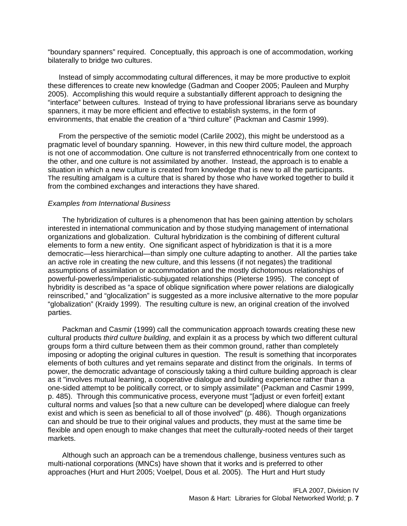"boundary spanners" required. Conceptually, this approach is one of accommodation, working bilaterally to bridge two cultures.

Instead of simply accommodating cultural differences, it may be more productive to exploit these differences to create new knowledge (Gadman and Cooper 2005; Pauleen and Murphy 2005). Accomplishing this would require a substantially different approach to designing the "interface" between cultures. Instead of trying to have professional librarians serve as boundary spanners, it may be more efficient and effective to establish systems, in the form of environments, that enable the creation of a "third culture" (Packman and Casmir 1999).

From the perspective of the semiotic model (Carlile 2002), this might be understood as a pragmatic level of boundary spanning. However, in this new third culture model, the approach is not one of accommodation. One culture is not transferred ethnocentrically from one context to the other, and one culture is not assimilated by another. Instead, the approach is to enable a situation in which a new culture is created from knowledge that is new to all the participants. The resulting amalgam is a culture that is shared by those who have worked together to build it T from the combined exchanges and interactions they have shared.

### *Examples from International Business*

The hybridization of cultures is a phenomenon that has been gaining attention by scholars interested in international communication and by those studying management of international organizations and globalization. Cultural hybridization is the combining of different cultural elements to form a new entity. One significant aspect of hybridization is that it is a more democratic—less hierarchical—than simply one culture adapting to another. All the parties take an active role in creating the new culture, and this lessens (if not negates) the traditional assumptions of assimilation or accommodation and the mostly dichotomous relationships of powerful-powerless/imperialistic-subjugated relationships (Pieterse 1995). The concept of hybridity is described as "a space of oblique signification where power relations are dialogically reinscribed," and "glocalization" is suggested as a more inclusive alternative to the more popular "globalization" (Kraidy 1999). The resulting culture is new, an original creation of the involved parties.

Packman and Casmir (1999) call the communication approach towards creating these new cultural products *third culture building*, and explain it as a process by which two different cultural groups form a third culture between them as their common ground, rather than completely imposing or adopting the original cultures in question. The result is something that incorporates elements of both cultures and yet remains separate and distinct from the originals. In terms of power, the democratic advantage of consciously taking a third culture building approach is clear as it "involves mutual learning, a cooperative dialogue and building experience rather than a one-sided attempt to be politically correct, or to simply assimilate" (Packman and Casmir 1999, p. 485). Through this communicative process, everyone must "[adjust or even forfeit] extant cultural norms and values [so that a new culture can be developed] where dialogue can freely exist and which is seen as beneficial to all of those involved" (p. 486). Though organizations can and should be true to their original values and products, they must at the same time be flexible and open enough to make changes that meet the culturally-rooted needs of their target markets.

Although such an approach can be a tremendous challenge, business ventures such as multi-national corporations (MNCs) have shown that it works and is preferred to other approaches (Hurt and Hurt 2005; Voelpel, Dous et al. 2005). The Hurt and Hurt study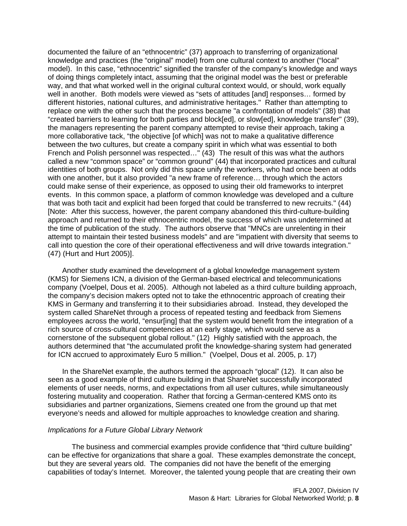documented the failure of an "ethnocentric" (37) approach to transferring of organizational knowledge and practices (the "original" model) from one cultural context to another ("local" model). In this case, "ethnocentric" signified the transfer of the company's knowledge and ways of doing things completely intact, assuming that the original model was the best or preferable way, and that what worked well in the original cultural context would, or should, work equally well in another. Both models were viewed as "sets of attitudes [and] responses… formed by different histories, national cultures, and administrative heritages." Rather than attempting to replace one with the other such that the process became "a confrontation of models" (38) that "created barriers to learning for both parties and block[ed], or slow[ed], knowledge transfer" (39), the managers representing the parent company attempted to revise their approach, taking a more collaborative tack, "the objective [of which] was not to make a qualitative difference between the two cultures, but create a company spirit in which what was essential to both French and Polish personnel was respected…" (43) The result of this was what the authors called a new "common space" or "common ground" (44) that incorporated practices and cultural identities of both groups. Not only did this space unify the workers, who had once been at odds with one another, but it also provided "a new frame of reference… through which the actors could make sense of their experience, as opposed to using their old frameworks to interpret events. In this common space, a platform of common knowledge was developed and a culture that was both tacit and explicit had been forged that could be transferred to new recruits." (44) [Note: After this success, however, the parent company abandoned this third-culture-building approach and returned to their ethnocentric model, the success of which was undetermined at the time of publication of the study. The authors observe that "MNCs are unrelenting in their attempt to maintain their tested business models" and are "impatient with diversity that seems to call into question the core of their operational effectiveness and will drive towards integration." (47) (Hurt and Hurt 2005)].

Another study examined the development of a global knowledge management system (KMS) for Siemens ICN, a division of the German-based electrical and telecommunications company (Voelpel, Dous et al. 2005). Although not labeled as a third culture building approach, the company's decision makers opted not to take the ethnocentric approach of creating their KMS in Germany and transferring it to their subsidiaries abroad. Instead, they developed the system called ShareNet through a process of repeated testing and feedback from Siemens employees across the world, "ensur[ing] that the system would benefit from the integration of a rich source of cross-cultural competencies at an early stage, which would serve as a cornerstone of the subsequent global rollout." (12) Highly satisfied with the approach, the authors determined that "the accumulated profit the knowledge-sharing system had generated for ICN accrued to approximately Euro 5 million." (Voelpel, Dous et al. 2005, p. 17)

In the ShareNet example, the authors termed the approach "glocal" (12). It can also be seen as a good example of third culture building in that ShareNet successfully incorporated elements of user needs, norms, and expectations from all user cultures, while simultaneously fostering mutuality and cooperation. Rather that forcing a German-centered KMS onto its subsidiaries and partner organizations, Siemens created one from the ground up that met everyone's needs and allowed for multiple approaches to knowledge creation and sharing.

## *Implications for a Future Global Library Network*

The business and commercial examples provide confidence that "third culture building" can be effective for organizations that share a goal. These examples demonstrate the concept, but they are several years old. The companies did not have the benefit of the emerging capabilities of today's Internet. Moreover, the talented young people that are creating their own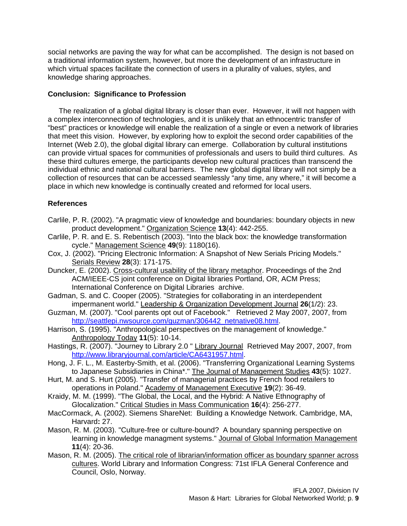social networks are paving the way for what can be accomplished. The design is not based on a traditional information system, however, but more the development of an infrastructure in which virtual spaces facilitate the connection of users in a plurality of values, styles, and knowledge sharing approaches.

## **Conclusion: Significance to Profession**

The realization of a global digital library is closer than ever. However, it will not happen with a complex interconnection of technologies, and it is unlikely that an ethnocentric transfer of "best" practices or knowledge will enable the realization of a single or even a network of libraries that meet this vision. However, by exploring how to exploit the second order capabilities of the Internet (Web 2.0), the global digital library can emerge. Collaboration by cultural institutions can provide virtual spaces for communities of professionals and users to build third cultures. As these third cultures emerge, the participants develop new cultural practices than transcend the individual ethnic and national cultural barriers. The new global digital library will not simply be a collection of resources that can be accessed seamlessly "any time, any where," it will become a place in which new knowledge is continually created and reformed for local users.

## **References**

- Carlile, P. R. (2002). "A pragmatic view of knowledge and boundaries: boundary objects in new product development." Organization Science **13**(4): 442-255.
- Carlile, P. R. and E. S. Rebentisch (2003). "Into the black box: the knowledge transformation cycle." Management Science **49**(9): 1180(16).
- Cox, J. (2002). "Pricing Electronic Information: A Snapshot of New Serials Pricing Models." Serials Review **28**(3): 171-175.
- Duncker, E. (2002). Cross-cultural usability of the library metaphor. Proceedings of the 2nd ACM/IEEE-CS joint conference on Digital libraries Portland, OR, ACM Press; International Conference on Digital Libraries archive.
- Gadman, S. and C. Cooper (2005). "Strategies for collaborating in an interdependent impermanent world." Leadership & Organization Development Journal **26**(1/2): 23.
- Guzman, M. (2007). "Cool parents opt out of Facebook." Retrieved 2 May 2007, 2007, from [http://seattlepi.nwsource.com/guzman/306442\\_netnative08.html](http://seattlepi.nwsource.com/guzman/306442_netnative08.html).
- Harrison, S. (1995). "Anthropological perspectives on the management of knowledge." Anthropology Today **11**(5): 10-14.
- Hastings, R. (2007). "Journey to Library 2.0 " Library Journal Retrieved May 2007, 2007, from <http://www.libraryjournal.com/article/CA6431957.html>.
- Hong, J. F. L., M. Easterby-Smith, et al. (2006). "Transferring Organizational Learning Systems to Japanese Subsidiaries in China\*." The Journal of Management Studies **43**(5): 1027.
- Hurt, M. and S. Hurt (2005). "Transfer of managerial practices by French food retailers to operations in Poland." Academy of Management Executive **19**(2): 36-49.
- Kraidy, M. M. (1999). "The Global, the Local, and the Hybrid: A Native Ethnography of Glocalization." Critical Studies in Mass Communication **16**(4): 256-277.
- MacCormack, A. (2002). Siemens ShareNet: Building a Knowledge Network. Cambridge, MA, Harvard**:** 27.
- Mason, R. M. (2003). "Culture-free or culture-bound? A boundary spanning perspective on learning in knowledge managment systems." Journal of Global Information Management **11**(4): 20-36.
- Mason, R. M. (2005). The critical role of librarian/information officer as boundary spanner across cultures. World Library and Information Congress: 71st IFLA General Conference and Council, Oslo, Norway.